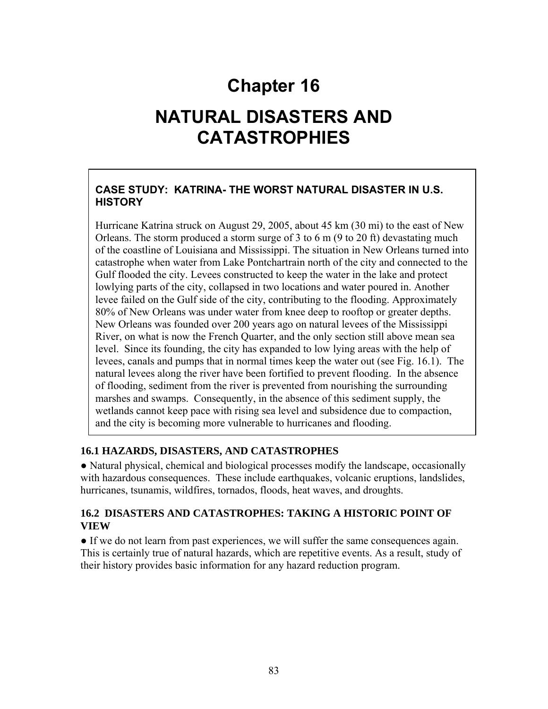# **Chapter 16**

# **NATURAL DISASTERS AND CATASTROPHIES**

# **CASE STUDY: KATRINA- THE WORST NATURAL DISASTER IN U.S. HISTORY**

Hurricane Katrina struck on August 29, 2005, about 45 km (30 mi) to the east of New Orleans. The storm produced a storm surge of 3 to 6 m (9 to 20 ft) devastating much of the coastline of Louisiana and Mississippi. The situation in New Orleans turned into catastrophe when water from Lake Pontchartrain north of the city and connected to the Gulf flooded the city. Levees constructed to keep the water in the lake and protect lowlying parts of the city, collapsed in two locations and water poured in. Another levee failed on the Gulf side of the city, contributing to the flooding. Approximately 80% of New Orleans was under water from knee deep to rooftop or greater depths. New Orleans was founded over 200 years ago on natural levees of the Mississippi River, on what is now the French Quarter, and the only section still above mean sea level. Since its founding, the city has expanded to low lying areas with the help of levees, canals and pumps that in normal times keep the water out (see Fig. 16.1). The natural levees along the river have been fortified to prevent flooding. In the absence of flooding, sediment from the river is prevented from nourishing the surrounding marshes and swamps. Consequently, in the absence of this sediment supply, the wetlands cannot keep pace with rising sea level and subsidence due to compaction, and the city is becoming more vulnerable to hurricanes and flooding.

#### **16.1 HAZARDS, DISASTERS, AND CATASTROPHES**

● Natural physical, chemical and biological processes modify the landscape, occasionally with hazardous consequences. These include earthquakes, volcanic eruptions, landslides, hurricanes, tsunamis, wildfires, tornados, floods, heat waves, and droughts.

#### **16.2 DISASTERS AND CATASTROPHES: TAKING A HISTORIC POINT OF VIEW**

● If we do not learn from past experiences, we will suffer the same consequences again. This is certainly true of natural hazards, which are repetitive events. As a result, study of their history provides basic information for any hazard reduction program.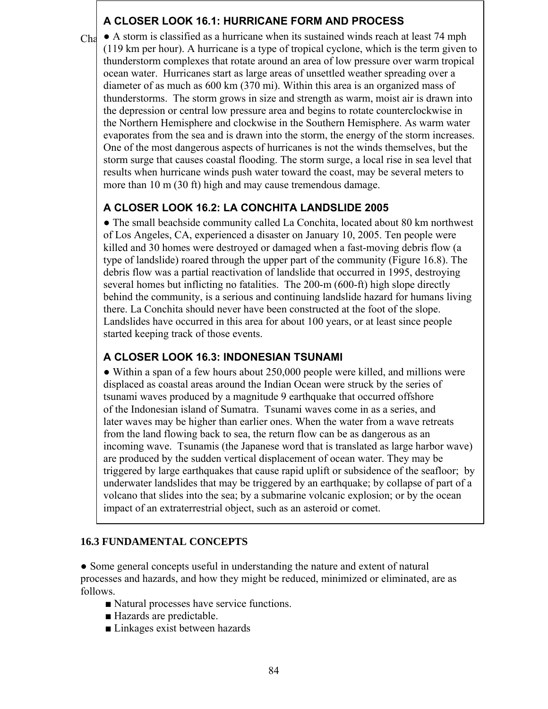### **A CLOSER LOOK 16.1: HURRICANE FORM AND PROCESS**

Cha<sup> $\bullet$ </sup> A storm is classified as a hurricane when its sustained winds reach at least 74 mph (119 km per hour). A hurricane is a type of tropical cyclone, which is the term given to thunderstorm complexes that rotate around an area of low pressure over warm tropical ocean water. Hurricanes start as large areas of unsettled weather spreading over a diameter of as much as 600 km (370 mi). Within this area is an organized mass of thunderstorms. The storm grows in size and strength as warm, moist air is drawn into the depression or central low pressure area and begins to rotate counterclockwise in the Northern Hemisphere and clockwise in the Southern Hemisphere. As warm water evaporates from the sea and is drawn into the storm, the energy of the storm increases. One of the most dangerous aspects of hurricanes is not the winds themselves, but the storm surge that causes coastal flooding. The storm surge, a local rise in sea level that results when hurricane winds push water toward the coast, may be several meters to more than 10 m (30 ft) high and may cause tremendous damage.

# **A CLOSER LOOK 16.2: LA CONCHITA LANDSLIDE 2005**

● The small beachside community called La Conchita, located about 80 km northwest of Los Angeles, CA, experienced a disaster on January 10, 2005. Ten people were killed and 30 homes were destroyed or damaged when a fast-moving debris flow (a type of landslide) roared through the upper part of the community (Figure 16.8). The debris flow was a partial reactivation of landslide that occurred in 1995, destroying several homes but inflicting no fatalities. The 200-m (600-ft) high slope directly behind the community, is a serious and continuing landslide hazard for humans living there. La Conchita should never have been constructed at the foot of the slope. Landslides have occurred in this area for about 100 years, or at least since people started keeping track of those events.

# **A CLOSER LOOK 16.3: INDONESIAN TSUNAMI**

● Within a span of a few hours about 250,000 people were killed, and millions were displaced as coastal areas around the Indian Ocean were struck by the series of tsunami waves produced by a magnitude 9 earthquake that occurred offshore of the Indonesian island of Sumatra. Tsunami waves come in as a series, and later waves may be higher than earlier ones. When the water from a wave retreats from the land flowing back to sea, the return flow can be as dangerous as an incoming wave. Tsunamis (the Japanese word that is translated as large harbor wave) are produced by the sudden vertical displacement of ocean water. They may be triggered by large earthquakes that cause rapid uplift or subsidence of the seafloor; by underwater landslides that may be triggered by an earthquake; by collapse of part of a volcano that slides into the sea; by a submarine volcanic explosion; or by the ocean impact of an extraterrestrial object, such as an asteroid or comet.

### **16.3 FUNDAMENTAL CONCEPTS**

**●** Some general concepts useful in understanding the nature and extent of natural processes and hazards, and how they might be reduced, minimized or eliminated, are as follows.

- Natural processes have service functions.
- Hazards are predictable.
- Linkages exist between hazards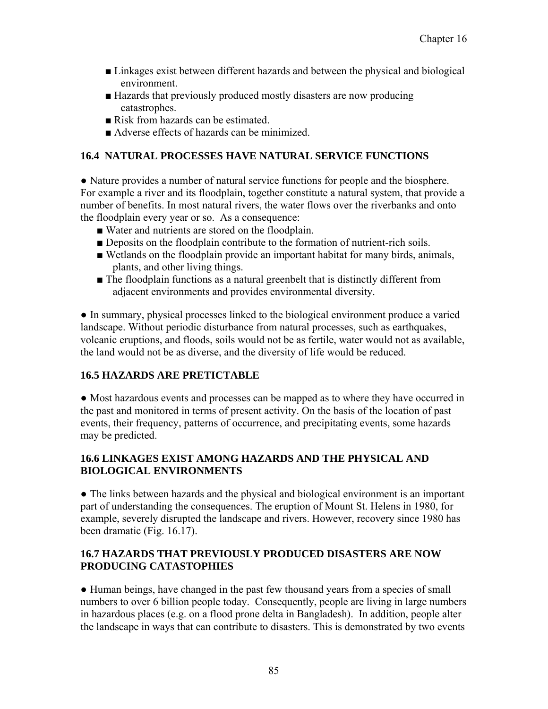- Linkages exist between different hazards and between the physical and biological environment.
- Hazards that previously produced mostly disasters are now producing catastrophes.
- Risk from hazards can be estimated.
- Adverse effects of hazards can be minimized.

### **16.4 NATURAL PROCESSES HAVE NATURAL SERVICE FUNCTIONS**

**●** Nature provides a number of natural service functions for people and the biosphere. For example a river and its floodplain, together constitute a natural system, that provide a number of benefits. In most natural rivers, the water flows over the riverbanks and onto the floodplain every year or so. As a consequence:

- Water and nutrients are stored on the floodplain.
- Deposits on the floodplain contribute to the formation of nutrient-rich soils.
- Wetlands on the floodplain provide an important habitat for many birds, animals, plants, and other living things.
- The floodplain functions as a natural greenbelt that is distinctly different from adjacent environments and provides environmental diversity.

**●** In summary, physical processes linked to the biological environment produce a varied landscape. Without periodic disturbance from natural processes, such as earthquakes, volcanic eruptions, and floods, soils would not be as fertile, water would not as available, the land would not be as diverse, and the diversity of life would be reduced.

#### **16.5 HAZARDS ARE PRETICTABLE**

**●** Most hazardous events and processes can be mapped as to where they have occurred in the past and monitored in terms of present activity. On the basis of the location of past events, their frequency, patterns of occurrence, and precipitating events, some hazards may be predicted.

#### **16.6 LINKAGES EXIST AMONG HAZARDS AND THE PHYSICAL AND BIOLOGICAL ENVIRONMENTS**

**●** The links between hazards and the physical and biological environment is an important part of understanding the consequences. The eruption of Mount St. Helens in 1980, for example, severely disrupted the landscape and rivers. However, recovery since 1980 has been dramatic (Fig. 16.17).

#### **16.7 HAZARDS THAT PREVIOUSLY PRODUCED DISASTERS ARE NOW PRODUCING CATASTOPHIES**

**●** Human beings, have changed in the past few thousand years from a species of small numbers to over 6 billion people today. Consequently, people are living in large numbers in hazardous places (e.g. on a flood prone delta in Bangladesh). In addition, people alter the landscape in ways that can contribute to disasters. This is demonstrated by two events